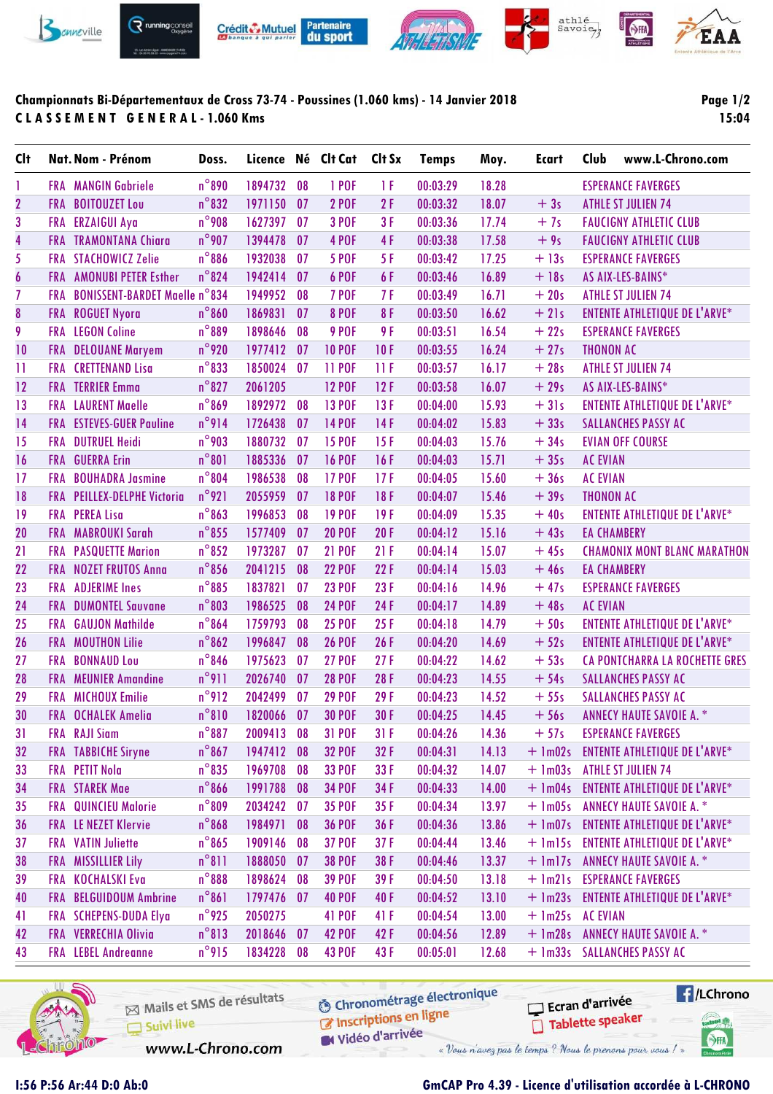

## Championnats Bi-Départementaux de Cross 73-74 - Poussines (1.060 kms) - 14 Janvier 2018 **CLASSEMENT GENERAL-1.060 Kms**

## Page  $1/2$ 15:04

| <b>Clt</b>              |            | Nat. Nom - Prénom                 | Doss.           | Licence Né Clt Cat |    |               | Clt Sx | <b>Temps</b> | Moy.  | <b>Ecart</b>     | Club               | www.L-Chrono.com                      |
|-------------------------|------------|-----------------------------------|-----------------|--------------------|----|---------------|--------|--------------|-------|------------------|--------------------|---------------------------------------|
| 1                       |            | <b>FRA</b> MANGIN Gabriele        | $n^{\circ}890$  | 1894732            | 08 | 1 POF         | 1 F    | 00:03:29     | 18.28 |                  |                    | <b>ESPERANCE FAVERGES</b>             |
| $\overline{\mathbf{2}}$ |            | FRA BOITOUZET Lou                 | $n^{\circ}832$  | 1971150            | 07 | <b>2 POF</b>  | 2F     | 00:03:32     | 18.07 | $+3s$            |                    | <b>ATHLE ST JULIEN 74</b>             |
| 3                       |            | FRA ERZAIGUI Aya                  | $n^{\circ}$ 908 | 1627397            | 07 | <b>3 POF</b>  | 3F     | 00:03:36     | 17.74 | $+7s$            |                    | <b>FAUCIGNY ATHLETIC CLUB</b>         |
| $\overline{\mathbf{4}}$ |            | <b>FRA TRAMONTANA Chiara</b>      | $n^{\circ}$ 907 | 1394478            | 07 | 4 POF         | 4F     | 00:03:38     | 17.58 | $+9s$            |                    | <b>FAUCIGNY ATHLETIC CLUB</b>         |
| 5                       |            | <b>FRA STACHOWICZ Zelie</b>       | $n^{\circ}886$  | 1932038            | 07 | <b>5 POF</b>  | 5F     | 00:03:42     | 17.25 | $+13s$           |                    | <b>ESPERANCE FAVERGES</b>             |
| $\boldsymbol{6}$        |            | <b>FRA AMONUBI PETER Esther</b>   | $n^{\circ}824$  | 1942414            | 07 | 6 POF         | 6F     | 00:03:46     | 16.89 | $+18s$           |                    | AS AIX-LES-BAINS*                     |
| $\overline{1}$          |            | FRA BONISSENT-BARDET Maelle n°834 |                 | 1949952            | 08 | <b>7 POF</b>  | 7F     | 00:03:49     | 16.71 | $+20s$           |                    | <b>ATHLE ST JULIEN 74</b>             |
| 8                       |            | FRA ROGUET Nyora                  | $n^{\circ}860$  | 1869831            | 07 | <b>8 POF</b>  | 8F     | 00:03:50     | 16.62 | $+21s$           |                    | <b>ENTENTE ATHLETIQUE DE L'ARVE*</b>  |
| 9                       |            | <b>FRA</b> LEGON Coline           | $n^{\circ}889$  | 1898646            | 08 | 9 POF         | 9 F    | 00:03:51     | 16.54 | $+22s$           |                    | <b>ESPERANCE FAVERGES</b>             |
| 10                      | <b>FRA</b> | <b>DELOUANE Maryem</b>            | $n^{\circ}$ 920 | 1977412            | 07 | <b>10 POF</b> | 10F    | 00:03:55     | 16.24 | $+27s$           | <b>THONON AC</b>   |                                       |
| $\mathbf{1}$            | <b>FRA</b> | <b>CRETTENAND Lisa</b>            | $n^{\circ}833$  | 1850024            | 07 | <b>11 POF</b> | 11F    | 00:03:57     | 16.17 | $+28s$           |                    | <b>ATHLE ST JULIEN 74</b>             |
| 12                      |            | <b>FRA</b> TERRIER Emma           | $n^{\circ}827$  | 2061205            |    | <b>12 POF</b> | 12F    | 00:03:58     | 16.07 | $+29s$           |                    | AS AIX-LES-BAINS*                     |
| 13                      |            | <b>FRA</b> LAURENT Maelle         | $n^{\circ}869$  | 1892972            | 08 | <b>13 POF</b> | 13F    | 00:04:00     | 15.93 | $+31s$           |                    | <b>ENTENTE ATHLETIQUE DE L'ARVE*</b>  |
| 14                      |            | <b>FRA</b> ESTEVES-GUER Pauline   | n°914           | 1726438            | 07 | <b>14 POF</b> | 14F    | 00:04:02     | 15.83 | $+33s$           |                    | <b>SALLANCHES PASSY AC</b>            |
| 15                      |            | <b>FRA DUTRUEL Heidi</b>          | $n^{\circ}$ 903 | 1880732            | 07 | <b>15 POF</b> | 15F    | 00:04:03     | 15.76 | $+34s$           |                    | <b>EVIAN OFF COURSE</b>               |
| 16                      | <b>FRA</b> | <b>GUERRA Erin</b>                | $n^{\circ}801$  | 1885336            | 07 | <b>16 POF</b> | 16F    | 00:04:03     | 15.71 | $+35s$           | <b>AC EVIAN</b>    |                                       |
| 17                      | <b>FRA</b> | <b>BOUHADRA Jasmine</b>           | $n^{\circ}804$  | 1986538            | 08 | <b>17 POF</b> | 17F    | 00:04:05     | 15.60 | $+36s$           | <b>AC EVIAN</b>    |                                       |
| 18                      |            | FRA PEILLEX-DELPHE Victoria       | $n^{\circ}921$  | 2055959            | 07 | <b>18 POF</b> | 18F    | 00:04:07     | 15.46 | $+39s$           | <b>THONON AC</b>   |                                       |
| 19                      |            | <b>FRA PEREALisa</b>              | $n^{\circ}863$  | 1996853            | 08 | <b>19 POF</b> | 19F    | 00:04:09     | 15.35 | $+40s$           |                    | <b>ENTENTE ATHLETIQUE DE L'ARVE*</b>  |
| 20                      |            | FRA MABROUKI Sarah                | $n^{\circ}$ 855 | 1577409            | 07 | <b>20 POF</b> | 20F    | 00:04:12     | 15.16 | $+43s$           | <b>EA CHAMBERY</b> |                                       |
| 21                      |            | <b>FRA</b> PASQUETTE Marion       | $n^{\circ}852$  | 1973287            | 07 | <b>21 POF</b> | 21F    | 00:04:14     | 15.07 | $+45s$           |                    | <b>CHAMONIX MONT BLANC MARATHON</b>   |
| 22                      | <b>FRA</b> | <b>NOZET FRUTOS Anna</b>          | $n^{\circ}$ 856 | 2041215            | 08 | <b>22 POF</b> | 22F    | 00:04:14     | 15.03 | $+46s$           | <b>EA CHAMBERY</b> |                                       |
| 23                      | <b>FRA</b> | <b>ADJERIME Ines</b>              | $n^{\circ}885$  | 1837821            | 07 | <b>23 POF</b> | 23F    | 00:04:16     | 14.96 | $+47s$           |                    | <b>ESPERANCE FAVERGES</b>             |
| 24                      |            | <b>FRA</b> DUMONTEL Sauvane       | $n^{\circ}803$  | 1986525            | 08 | <b>24 POF</b> | 24F    | 00:04:17     | 14.89 | $+48s$           | <b>AC EVIAN</b>    |                                       |
| 25                      | <b>FRA</b> | <b>GAUJON Mathilde</b>            | $n^{\circ}864$  | 1759793            | 08 | <b>25 POF</b> | 25F    | 00:04:18     | 14.79 | $+50s$           |                    | <b>ENTENTE ATHLETIQUE DE L'ARVE*</b>  |
| 26                      |            | <b>FRA MOUTHON Lilie</b>          | $n^{\circ}862$  | 1996847            | 08 | <b>26 POF</b> | 26F    | 00:04:20     | 14.69 | $+52s$           |                    | <b>ENTENTE ATHLETIQUE DE L'ARVE*</b>  |
| 27                      | <b>FRA</b> | <b>BONNAUD Lou</b>                | $n^{\circ}846$  | 1975623            | 07 | <b>27 POF</b> | 27F    | 00:04:22     | 14.62 | $+53s$           |                    | CA PONTCHARRA LA ROCHETTE GRES        |
| 28                      | <b>FRA</b> | <b>MEUNIER Amandine</b>           | $n^{\circ}911$  | 2026740            | 07 | <b>28 POF</b> | 28F    | 00:04:23     | 14.55 | $+54s$           |                    | <b>SALLANCHES PASSY AC</b>            |
| 29                      |            | <b>FRA MICHOUX Emilie</b>         | $n^{\circ}912$  | 2042499            | 07 | <b>29 POF</b> | 29F    | 00:04:23     | 14.52 | $+55s$           |                    | <b>SALLANCHES PASSY AC</b>            |
| 30                      |            | <b>FRA OCHALEK Amelia</b>         | $n^{\circ}810$  | 1820066            | 07 | <b>30 POF</b> | 30F    | 00:04:25     | 14.45 | $+56s$           |                    | <b>ANNECY HAUTE SAVOIE A. *</b>       |
| 31                      |            | <b>FRA</b> RAJI Siam              | $n^{\circ}887$  | 2009413            | 08 | <b>31 POF</b> | 31F    | 00:04:26     | 14.36 | $+57s$           |                    | <b>ESPERANCE FAVERGES</b>             |
| 32                      |            | <b>FRA TABBICHE Siryne</b>        | $n^{\circ}867$  | 1947412            | 08 | <b>32 POF</b> | 32F    | 00:04:31     | 14.13 | $+ \ln 02s$      |                    | <b>ENTENTE ATHLETIQUE DE L'ARVE*</b>  |
| 33                      |            | FRA PETIT Nola                    | $n^{\circ}835$  | 1969708            | 08 | <b>33 POF</b> | 33F    | 00:04:32     | 14.07 | $+$ 1m03s        |                    | <b>ATHLE ST JULIEN 74</b>             |
| 34                      |            | <b>FRA</b> STAREK Mae             | $n^{\circ}$ 866 | 1991788            | 08 | <b>34 POF</b> | 34F    | 00:04:33     | 14.00 | $+$ 1m04s        |                    | <b>ENTENTE ATHLETIQUE DE L'ARVE*</b>  |
| 35                      |            | FRA QUINCIEU Malorie              | $n^{\circ}809$  | 2034242            | 07 | <b>35 POF</b> | 35F    | 00:04:34     | 13.97 |                  |                    | + 1m05s ANNECY HAUTE SAVOIE A. *      |
| 36                      |            | FRA LE NEZET Klervie              | $n^{\circ}$ 868 | 1984971            | 08 | <b>36 POF</b> | 36F    | 00:04:36     | 13.86 | $+ \text{lm07s}$ |                    | <b>ENTENTE ATHLETIQUE DE L'ARVE*</b>  |
| 37                      |            | <b>FRA</b> VATIN Juliette         | $n^{\circ}865$  | 1909146            | 08 | <b>37 POF</b> | 37F    | 00:04:44     | 13.46 | $+$ 1m15s        |                    | <b>ENTENTE ATHLETIQUE DE L'ARVE*</b>  |
| 38                      |            | FRA MISSILLIER Lily               | $n^{\circ}811$  | 1888050            | 07 | <b>38 POF</b> | 38F    | 00:04:46     | 13.37 | $+$ 1m17s        |                    | <b>ANNECY HAUTE SAVOIE A. *</b>       |
| 39                      |            | FRA KOCHALSKI Eva                 | $n^{\circ}$ 888 | 1898624            | 08 | <b>39 POF</b> | 39 F   | 00:04:50     | 13.18 | $+$ $lm21s$      |                    | <b>ESPERANCE FAVERGES</b>             |
| 40                      |            | FRA BELGUIDOUM Ambrine            | $n^{\circ}861$  | 1797476            | 07 | <b>40 POF</b> | 40 F   | 00:04:52     | 13.10 |                  |                    | + 1m23s ENTENTE ATHLETIQUE DE L'ARVE* |
| 41                      |            | FRA SCHEPENS-DUDA Elya            | $n^{\circ}$ 925 | 2050275            |    | <b>41 POF</b> | 41 F   | 00:04:54     | 13.00 | + 1m25s AC EVIAN |                    |                                       |
| 42                      |            | FRA VERRECHIA Olivia              | $n^{\circ}813$  | 2018646            | 07 | <b>42 POF</b> | 42 F   | 00:04:56     | 12.89 | $+$ 1m28s        |                    | <b>ANNECY HAUTE SAVOIE A. *</b>       |
| 43                      |            | <b>FRA</b> LEBEL Andreanne        | $n^{\circ}$ 915 | 1834228            | 08 | <b>43 POF</b> | 43 F   | 00:05:01     | 12.68 |                  |                    | + 1m33s SALLANCHES PASSY AC           |
|                         |            |                                   |                 |                    |    |               |        |              |       |                  |                    |                                       |



Mails et SMS de résultats Suivi live

**6** Chronométrage électronique Inscriptions en ligne

Vidéo d'arrivée « Vous n'avez pas le temps ? Nous le prenons pour vous !

**E** /LChrono Ecran d'arrivée Tablette speaker

saties of

SHA

www.L-Chrono.com